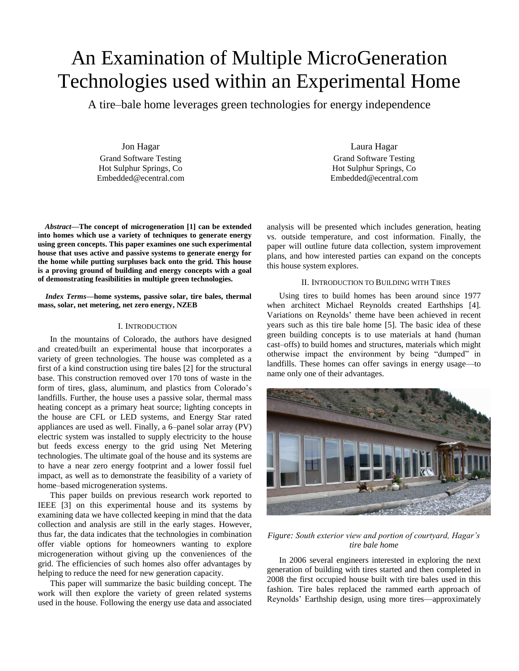# An Examination of Multiple MicroGeneration Technologies used within an Experimental Home

A tire–bale home leverages green technologies for energy independence

Jon Hagar Grand Software Testing Hot Sulphur Springs, Co Embedded@ecentral.com

*Abstract***—The concept of microgeneration [1] can be extended into homes which use a variety of techniques to generate energy using green concepts. This paper examines one such experimental house that uses active and passive systems to generate energy for the home while putting surpluses back onto the grid. This house is a proving ground of building and energy concepts with a goal of demonstrating feasibilities in multiple green technologies.**

*Index Terms***—home systems, passive solar, tire bales, thermal mass, solar, net metering, net zero energy, NZEB**

# I. INTRODUCTION

In the mountains of Colorado, the authors have designed and created/built an experimental house that incorporates a variety of green technologies. The house was completed as a first of a kind construction using tire bales [2] for the structural base. This construction removed over 170 tons of waste in the form of tires, glass, aluminum, and plastics from Colorado's landfills. Further, the house uses a passive solar, thermal mass heating concept as a primary heat source; lighting concepts in the house are CFL or LED systems, and Energy Star rated appliances are used as well. Finally, a 6–panel solar array (PV) electric system was installed to supply electricity to the house but feeds excess energy to the grid using Net Metering technologies. The ultimate goal of the house and its systems are to have a near zero energy footprint and a lower fossil fuel impact, as well as to demonstrate the feasibility of a variety of home–based microgeneration systems.

This paper builds on previous research work reported to IEEE [3] on this experimental house and its systems by examining data we have collected keeping in mind that the data collection and analysis are still in the early stages. However, thus far, the data indicates that the technologies in combination offer viable options for homeowners wanting to explore microgeneration without giving up the conveniences of the grid. The efficiencies of such homes also offer advantages by helping to reduce the need for new generation capacity.

This paper will summarize the basic building concept. The work will then explore the variety of green related systems used in the house. Following the energy use data and associated

Laura Hagar Grand Software Testing Hot Sulphur Springs, Co Embedded@ecentral.com

analysis will be presented which includes generation, heating vs. outside temperature, and cost information. Finally, the paper will outline future data collection, system improvement plans, and how interested parties can expand on the concepts this house system explores.

# II. INTRODUCTION TO BUILDING WITH TIRES

Using tires to build homes has been around since 1977 when architect Michael Reynolds created Earthships [4]. Variations on Reynolds' theme have been achieved in recent years such as this tire bale home [5]. The basic idea of these green building concepts is to use materials at hand (human cast–offs) to build homes and structures, materials which might otherwise impact the environment by being "dumped" in landfills. These homes can offer savings in energy usage—to name only one of their advantages.



# *Figure: South exterior view and portion of courtyard, Hagar's tire bale home*

In 2006 several engineers interested in exploring the next generation of building with tires started and then completed in 2008 the first occupied house built with tire bales used in this fashion. Tire bales replaced the rammed earth approach of Reynolds' Earthship design, using more tires—approximately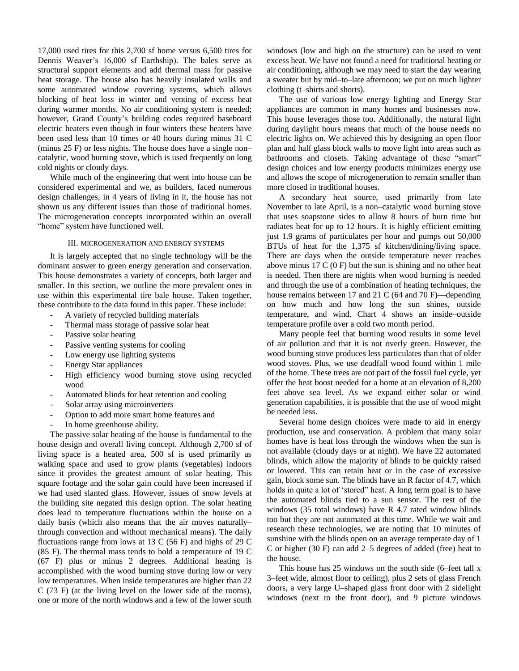17,000 used tires for this 2,700 sf home versus 6,500 tires for Dennis Weaver's 16,000 sf Earthship). The bales serve as structural support elements and add thermal mass for passive heat storage. The house also has heavily insulated walls and some automated window covering systems, which allows blocking of heat loss in winter and venting of excess heat during warmer months. No air conditioning system is needed; however, Grand County's building codes required baseboard electric heaters even though in four winters these heaters have been used less than 10 times or 40 hours during minus 31 C (minus 25 F) or less nights. The house does have a single non– catalytic, wood burning stove, which is used frequently on long cold nights or cloudy days.

While much of the engineering that went into house can be considered experimental and we, as builders, faced numerous design challenges, in 4 years of living in it, the house has not shown us any different issues than those of traditional homes. The microgeneration concepts incorporated within an overall "home" system have functioned well.

# III. MICROGENERATION AND ENERGY SYSTEMS

It is largely accepted that no single technology will be the dominant answer to green energy generation and conservation. This house demonstrates a variety of concepts, both larger and smaller. In this section, we outline the more prevalent ones in use within this experimental tire bale house. Taken together, these contribute to the data found in this paper. These include:

- A variety of recycled building materials
- Thermal mass storage of passive solar heat
- Passive solar heating
- Passive venting systems for cooling
- Low energy use lighting systems
- Energy Star appliances
- High efficiency wood burning stove using recycled wood
- Automated blinds for heat retention and cooling
- Solar array using microinverters
- Option to add more smart home features and
- In home greenhouse ability.

The passive solar heating of the house is fundamental to the house design and overall living concept. Although 2,700 sf of living space is a heated area, 500 sf is used primarily as walking space and used to grow plants (vegetables) indoors since it provides the greatest amount of solar heating. This square footage and the solar gain could have been increased if we had used slanted glass. However, issues of snow levels at the building site negated this design option. The solar heating does lead to temperature fluctuations within the house on a daily basis (which also means that the air moves naturally– through convection and without mechanical means). The daily fluctuations range from lows at 13 C  $(56 F)$  and highs of 29 C (85 F). The thermal mass tends to hold a temperature of 19 C (67 F) plus or minus 2 degrees. Additional heating is accomplished with the wood burning stove during low or very low temperatures. When inside temperatures are higher than 22 C (73 F) (at the living level on the lower side of the rooms), one or more of the north windows and a few of the lower south

windows (low and high on the structure) can be used to vent excess heat. We have not found a need for traditional heating or air conditioning, although we may need to start the day wearing a sweater but by mid–to–late afternoon; we put on much lighter clothing (t–shirts and shorts).

The use of various low energy lighting and Energy Star appliances are common in many homes and businesses now. This house leverages those too. Additionally, the natural light during daylight hours means that much of the house needs no electric lights on. We achieved this by designing an open floor plan and half glass block walls to move light into areas such as bathrooms and closets. Taking advantage of these "smart" design choices and low energy products minimizes energy use and allows the scope of microgeneration to remain smaller than more closed in traditional houses.

A secondary heat source, used primarily from late November to late April, is a non–catalytic wood burning stove that uses soapstone sides to allow 8 hours of burn time but radiates heat for up to 12 hours. It is highly efficient emitting just 1.9 grams of particulates per hour and pumps out 50,000 BTUs of heat for the 1,375 sf kitchen/dining/living space. There are days when the outside temperature never reaches above minus  $17 \text{ C}$  (0 F) but the sun is shining and no other heat is needed. Then there are nights when wood burning is needed and through the use of a combination of heating techniques, the house remains between 17 and 21 C (64 and 70 F)—depending on how much and how long the sun shines, outside temperature, and wind. Chart 4 shows an inside–outside temperature profile over a cold two month period.

Many people feel that burning wood results in some level of air pollution and that it is not overly green. However, the wood burning stove produces less particulates than that of older wood stoves. Plus, we use deadfall wood found within 1 mile of the home. These trees are not part of the fossil fuel cycle, yet offer the heat boost needed for a home at an elevation of 8,200 feet above sea level. As we expand either solar or wind generation capabilities, it is possible that the use of wood might be needed less.

Several home design choices were made to aid in energy production, use and conservation. A problem that many solar homes have is heat loss through the windows when the sun is not available (cloudy days or at night). We have 22 automated blinds, which allow the majority of blinds to be quickly raised or lowered. This can retain heat or in the case of excessive gain, block some sun. The blinds have an R factor of 4.7, which holds in quite a lot of 'stored" heat. A long term goal is to have the automated blinds tied to a sun sensor. The rest of the windows (35 total windows) have R 4.7 rated window blinds too but they are not automated at this time. While we wait and research these technologies, we are noting that 10 minutes of sunshine with the blinds open on an average temperate day of 1 C or higher (30 F) can add 2–5 degrees of added (free) heat to the house.

This house has 25 windows on the south side (6–feet tall x 3–feet wide, almost floor to ceiling), plus 2 sets of glass French doors, a very large U–shaped glass front door with 2 sidelight windows (next to the front door), and 9 picture windows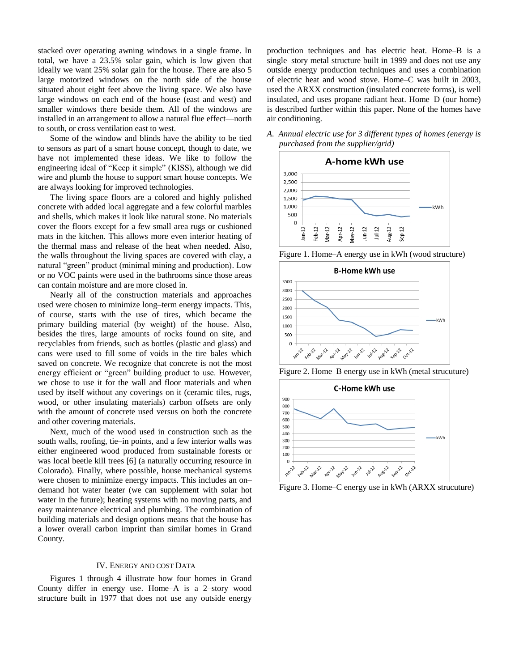stacked over operating awning windows in a single frame. In total, we have a 23.5% solar gain, which is low given that ideally we want 25% solar gain for the house. There are also 5 large motorized windows on the north side of the house situated about eight feet above the living space. We also have large windows on each end of the house (east and west) and smaller windows there beside them. All of the windows are installed in an arrangement to allow a natural flue effect—north to south, or cross ventilation east to west.

Some of the window and blinds have the ability to be tied to sensors as part of a smart house concept, though to date, we have not implemented these ideas. We like to follow the engineering ideal of "Keep it simple" (KISS), although we did wire and plumb the house to support smart house concepts. We are always looking for improved technologies.

The living space floors are a colored and highly polished concrete with added local aggregate and a few colorful marbles and shells, which makes it look like natural stone. No materials cover the floors except for a few small area rugs or cushioned mats in the kitchen. This allows more even interior heating of the thermal mass and release of the heat when needed. Also, the walls throughout the living spaces are covered with clay, a natural "green" product (minimal mining and production). Low or no VOC paints were used in the bathrooms since those areas can contain moisture and are more closed in.

Nearly all of the construction materials and approaches used were chosen to minimize long–term energy impacts. This, of course, starts with the use of tires, which became the primary building material (by weight) of the house. Also, besides the tires, large amounts of rocks found on site, and recyclables from friends, such as bottles (plastic and glass) and cans were used to fill some of voids in the tire bales which saved on concrete. We recognize that concrete is not the most energy efficient or "green" building product to use. However, we chose to use it for the wall and floor materials and when used by itself without any coverings on it (ceramic tiles, rugs, wood, or other insulating materials) carbon offsets are only with the amount of concrete used versus on both the concrete and other covering materials.

Next, much of the wood used in construction such as the south walls, roofing, tie–in points, and a few interior walls was either engineered wood produced from sustainable forests or was local beetle kill trees [6] (a naturally occurring resource in Colorado). Finally, where possible, house mechanical systems were chosen to minimize energy impacts. This includes an on– demand hot water heater (we can supplement with solar hot water in the future); heating systems with no moving parts, and easy maintenance electrical and plumbing. The combination of building materials and design options means that the house has a lower overall carbon imprint than similar homes in Grand County.

#### IV. ENERGY AND COST DATA

Figures 1 through 4 illustrate how four homes in Grand County differ in energy use. Home–A is a 2–story wood structure built in 1977 that does not use any outside energy

production techniques and has electric heat. Home–B is a single–story metal structure built in 1999 and does not use any outside energy production techniques and uses a combination of electric heat and wood stove. Home–C was built in 2003, used the ARXX construction (insulated concrete forms), is well insulated, and uses propane radiant heat. Home–D (our home) is described further within this paper. None of the homes have air conditioning.

*A. Annual electric use for 3 different types of homes (energy is purchased from the supplier/grid)*



Figure 1. Home–A energy use in kWh (wood structure)



Figure 2. Home–B energy use in kWh (metal strucuture)



Figure 3. Home–C energy use in kWh (ARXX strucuture)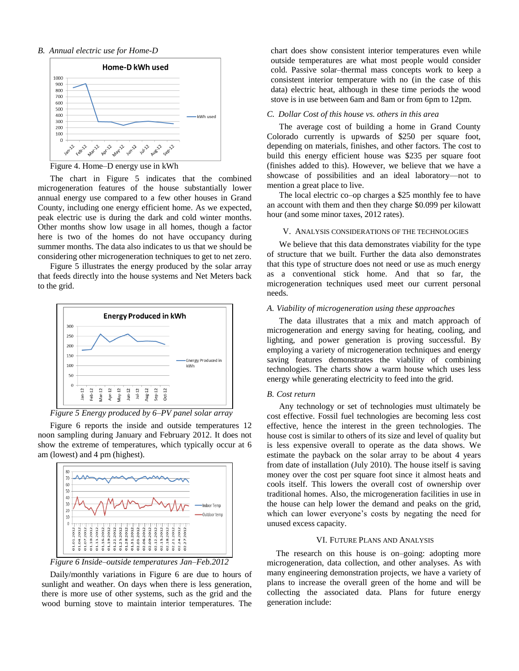#### *B. Annual electric use for Home-D*



Figure 4. Home–D energy use in kWh

The chart in Figure 5 indicates that the combined microgeneration features of the house substantially lower annual energy use compared to a few other houses in Grand County, including one energy efficient home. As we expected, peak electric use is during the dark and cold winter months. Other months show low usage in all homes, though a factor here is two of the homes do not have occupancy during summer months. The data also indicates to us that we should be considering other microgeneration techniques to get to net zero.

Figure 5 illustrates the energy produced by the solar array that feeds directly into the house systems and Net Meters back to the grid.



*Figure 5 Energy produced by 6–PV panel solar array*

Figure 6 reports the inside and outside temperatures 12 noon sampling during January and February 2012. It does not show the extreme of temperatures, which typically occur at 6 am (lowest) and 4 pm (highest).



*Figure 6 Inside–outside temperatures Jan–Feb.2012*

Daily/monthly variations in Figure 6 are due to hours of sunlight and weather. On days when there is less generation, there is more use of other systems, such as the grid and the wood burning stove to maintain interior temperatures. The

chart does show consistent interior temperatures even while outside temperatures are what most people would consider cold. Passive solar–thermal mass concepts work to keep a consistent interior temperature with no (in the case of this data) electric heat, although in these time periods the wood stove is in use between 6am and 8am or from 6pm to 12pm.

#### *C. Dollar Cost of this house vs. others in this area*

The average cost of building a home in Grand County Colorado currently is upwards of \$250 per square foot, depending on materials, finishes, and other factors. The cost to build this energy efficient house was \$235 per square foot (finishes added to this). However, we believe that we have a showcase of possibilities and an ideal laboratory—not to mention a great place to live.

The local electric co–op charges a \$25 monthly fee to have an account with them and then they charge \$0.099 per kilowatt hour (and some minor taxes, 2012 rates).

#### V. ANALYSIS CONSIDERATIONS OF THE TECHNOLOGIES

We believe that this data demonstrates viability for the type of structure that we built. Further the data also demonstrates that this type of structure does not need or use as much energy as a conventional stick home. And that so far, the microgeneration techniques used meet our current personal needs.

#### *A. Viability of microgeneration using these approaches*

The data illustrates that a mix and match approach of microgeneration and energy saving for heating, cooling, and lighting, and power generation is proving successful. By employing a variety of microgeneration techniques and energy saving features demonstrates the viability of combining technologies. The charts show a warm house which uses less energy while generating electricity to feed into the grid.

#### *B. Cost return*

Any technology or set of technologies must ultimately be cost effective. Fossil fuel technologies are becoming less cost effective, hence the interest in the green technologies. The house cost is similar to others of its size and level of quality but is less expensive overall to operate as the data shows. We estimate the payback on the solar array to be about 4 years from date of installation (July 2010). The house itself is saving money over the cost per square foot since it almost heats and cools itself. This lowers the overall cost of ownership over traditional homes. Also, the microgeneration facilities in use in the house can help lower the demand and peaks on the grid, which can lower everyone's costs by negating the need for unused excess capacity.

#### VI. FUTURE PLANS AND ANALYSIS

The research on this house is on–going: adopting more microgeneration, data collection, and other analyses. As with many engineering demonstration projects, we have a variety of plans to increase the overall green of the home and will be collecting the associated data. Plans for future energy generation include: